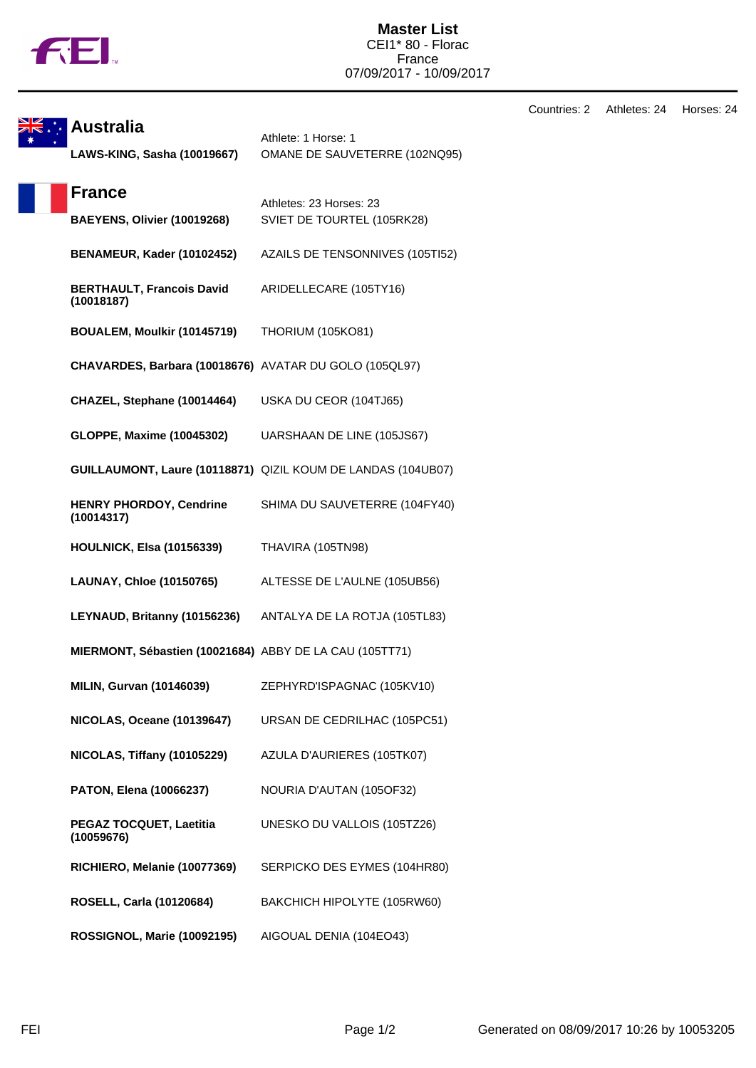

**Master List** CEI1\* 80 - Florac France 07/09/2017 - 10/09/2017

**Australia** Athlete: 1 Horse: 1 **LAWS-KING, Sasha (10019667)** OMANE DE SAUVETERRE (102NQ95) **France** Athletes: 23 Horses: 23 **BAEYENS, Olivier (10019268)** SVIET DE TOURTEL (105RK28) **BENAMEUR, Kader (10102452)** AZAILS DE TENSONNIVES (105TI52) **BERTHAULT, Francois David (10018187)** ARIDELLECARE (105TY16) **BOUALEM, Moulkir (10145719)** THORIUM (105KO81) **CHAVARDES, Barbara (10018676)** AVATAR DU GOLO (105QL97) **CHAZEL, Stephane (10014464)** USKA DU CEOR (104TJ65) **GLOPPE, Maxime (10045302)** UARSHAAN DE LINE (105JS67) **GUILLAUMONT, Laure (10118871)** QIZIL KOUM DE LANDAS (104UB07) **HENRY PHORDOY, Cendrine (10014317)** SHIMA DU SAUVETERRE (104FY40) **HOULNICK, Elsa (10156339)** THAVIRA (105TN98) **LAUNAY, Chloe (10150765)** ALTESSE DE L'AULNE (105UB56) **LEYNAUD, Britanny (10156236)** ANTALYA DE LA ROTJA (105TL83) **MIERMONT, Sébastien (10021684)** ABBY DE LA CAU (105TT71) **MILIN, Gurvan (10146039)** ZEPHYRD'ISPAGNAC (105KV10) **NICOLAS, Oceane (10139647)** URSAN DE CEDRILHAC (105PC51) **NICOLAS, Tiffany (10105229)** AZULA D'AURIERES (105TK07) **PATON, Elena (10066237)** NOURIA D'AUTAN (105OF32) **PEGAZ TOCQUET, Laetitia (10059676)** UNESKO DU VALLOIS (105TZ26) **RICHIERO, Melanie (10077369)** SERPICKO DES EYMES (104HR80) **ROSELL, Carla (10120684)** BAKCHICH HIPOLYTE (105RW60) **ROSSIGNOL, Marie (10092195)** AIGOUAL DENIA (104EO43)

Countries: 2 Athletes: 24 Horses: 24